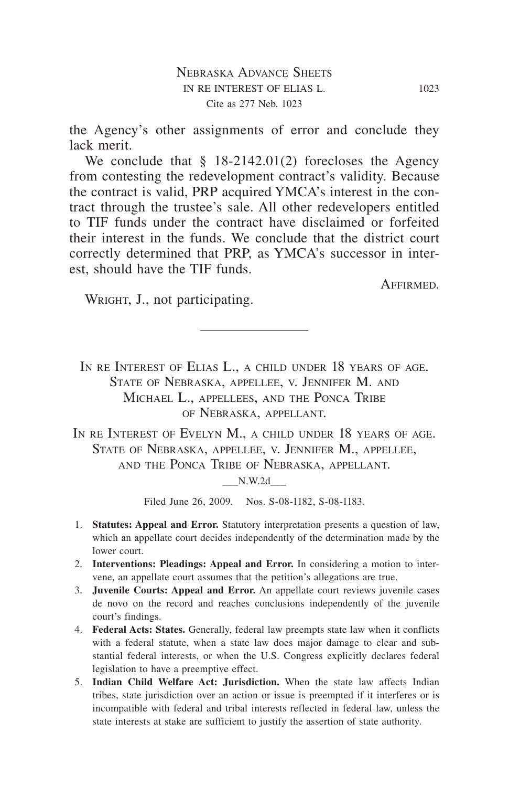the Agency's other assignments of error and conclude they lack merit.

We conclude that § 18-2142.01(2) forecloses the Agency from contesting the redevelopment contract's validity. Because the contract is valid, PRP acquired YMCA's interest in the contract through the trustee's sale. All other redevelopers entitled to TIF funds under the contract have disclaimed or forfeited their interest in the funds. We conclude that the district court correctly determined that PRP, as YMCA's successor in interest, should have the TIF funds.

**AFFIRMED.** 

WRIGHT, J., not participating.

IN RE INTEREST OF ELIAS L., A CHILD UNDER 18 YEARS OF AGE. State of Nebraska, appellee, v. Jennifer M. and Michael L., appellees, and the Ponca Tribe of Nebraska, appellant.

IN RE INTEREST OF EVELYN M., A CHILD UNDER 18 YEARS OF AGE. STATE OF NEBRASKA, APPELLEE, V. JENNIFER M., APPELLEE, and the Ponca Tribe of Nebraska, appellant.

 $N.W.2d$ 

Filed June 26, 2009. Nos. S-08-1182, S-08-1183.

- 1. **Statutes: Appeal and Error.** Statutory interpretation presents a question of law, which an appellate court decides independently of the determination made by the lower court.
- 2. **Interventions: Pleadings: Appeal and Error.** In considering a motion to intervene, an appellate court assumes that the petition's allegations are true.
- 3. **Juvenile Courts: Appeal and Error.** An appellate court reviews juvenile cases de novo on the record and reaches conclusions independently of the juvenile court's findings.
- 4. **Federal Acts: States.** Generally, federal law preempts state law when it conflicts with a federal statute, when a state law does major damage to clear and substantial federal interests, or when the U.S. Congress explicitly declares federal legislation to have a preemptive effect.
- 5. **Indian Child Welfare Act: Jurisdiction.** When the state law affects Indian tribes, state jurisdiction over an action or issue is preempted if it interferes or is incompatible with federal and tribal interests reflected in federal law, unless the state interests at stake are sufficient to justify the assertion of state authority.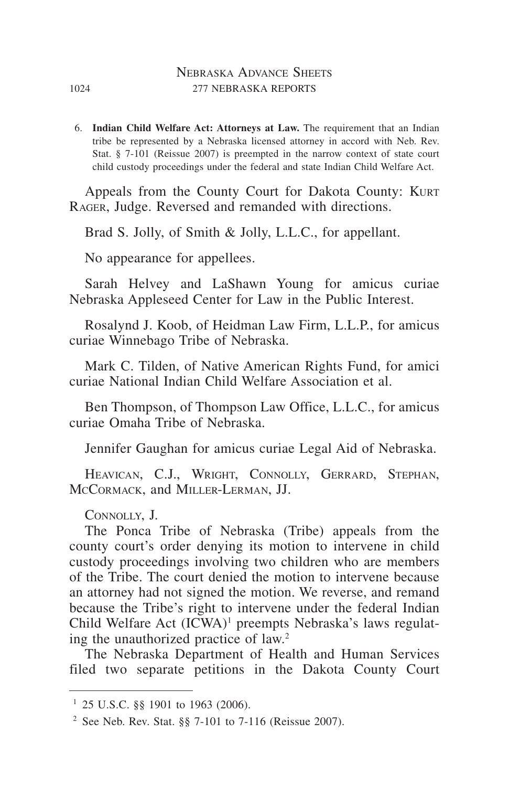## Nebraska Advance Sheets 1024 277 NEBRASKA REPORTS

6. **Indian Child Welfare Act: Attorneys at Law.** The requirement that an Indian tribe be represented by a Nebraska licensed attorney in accord with Neb. Rev. Stat. § 7-101 (Reissue 2007) is preempted in the narrow context of state court child custody proceedings under the federal and state Indian Child Welfare Act.

Appeals from the County Court for Dakota County: KURT Rager, Judge. Reversed and remanded with directions.

Brad S. Jolly, of Smith & Jolly, L.L.C., for appellant.

No appearance for appellees.

Sarah Helvey and LaShawn Young for amicus curiae Nebraska Appleseed Center for Law in the Public Interest.

Rosalynd J. Koob, of Heidman Law Firm, L.L.P., for amicus curiae Winnebago Tribe of Nebraska.

Mark C. Tilden, of Native American Rights Fund, for amici curiae National Indian Child Welfare Association et al.

Ben Thompson, of Thompson Law Office, L.L.C., for amicus curiae Omaha Tribe of Nebraska.

Jennifer Gaughan for amicus curiae Legal Aid of Nebraska.

HEAVICAN, C.J., WRIGHT, CONNOLLY, GERRARD, STEPHAN, McCormack, and Miller-Lerman, JJ.

Connolly, J.

The Ponca Tribe of Nebraska (Tribe) appeals from the county court's order denying its motion to intervene in child custody proceedings involving two children who are members of the Tribe. The court denied the motion to intervene because an attorney had not signed the motion. We reverse, and remand because the Tribe's right to intervene under the federal Indian Child Welfare Act (ICWA)<sup>1</sup> preempts Nebraska's laws regulating the unauthorized practice of law.2

The Nebraska Department of Health and Human Services filed two separate petitions in the Dakota County Court

 $1$  25 U.S.C. §§ 1901 to 1963 (2006).

<sup>&</sup>lt;sup>2</sup> See Neb. Rev. Stat. §§ 7-101 to 7-116 (Reissue 2007).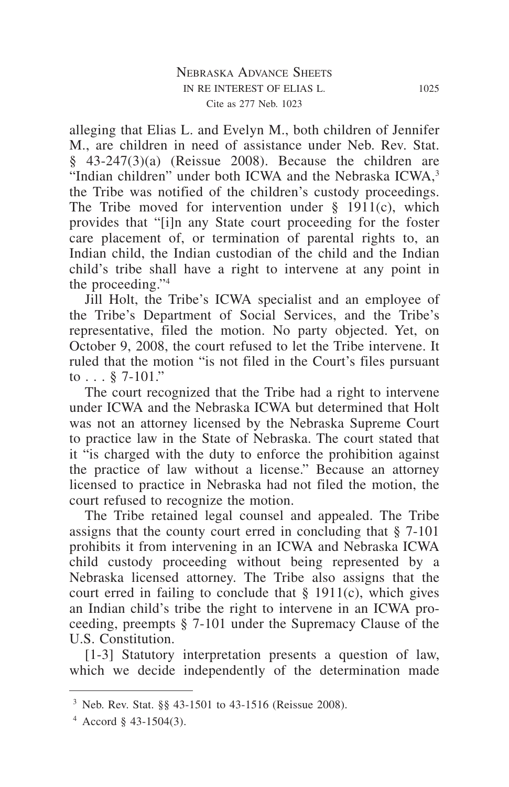alleging that Elias L. and Evelyn M., both children of Jennifer M., are children in need of assistance under Neb. Rev. Stat.  $§$  43-247(3)(a) (Reissue 2008). Because the children are "Indian children" under both ICWA and the Nebraska ICWA,<sup>3</sup> the Tribe was notified of the children's custody proceedings. The Tribe moved for intervention under  $\S$  1911(c), which provides that "[i]n any State court proceeding for the foster care placement of, or termination of parental rights to, an Indian child, the Indian custodian of the child and the Indian child's tribe shall have a right to intervene at any point in the proceeding."4

Jill Holt, the Tribe's ICWA specialist and an employee of the Tribe's Department of Social Services, and the Tribe's representative, filed the motion. No party objected. Yet, on October 9, 2008, the court refused to let the Tribe intervene. It ruled that the motion "is not filed in the Court's files pursuant to  $\ldots$   $8$  7-101."

The court recognized that the Tribe had a right to intervene under ICWA and the Nebraska ICWA but determined that Holt was not an attorney licensed by the Nebraska Supreme Court to practice law in the State of Nebraska. The court stated that it "is charged with the duty to enforce the prohibition against the practice of law without a license." Because an attorney licensed to practice in Nebraska had not filed the motion, the court refused to recognize the motion.

The Tribe retained legal counsel and appealed. The Tribe assigns that the county court erred in concluding that § 7-101 prohibits it from intervening in an ICWA and Nebraska ICWA child custody proceeding without being represented by a Nebraska licensed attorney. The Tribe also assigns that the court erred in failing to conclude that  $\S$  1911(c), which gives an Indian child's tribe the right to intervene in an ICWA proceeding, preempts § 7-101 under the Supremacy Clause of the U.S. Constitution.

[1-3] Statutory interpretation presents a question of law, which we decide independently of the determination made

<sup>3</sup> Neb. Rev. Stat. §§ 43-1501 to 43-1516 (Reissue 2008).

 $4$  Accord § 43-1504(3).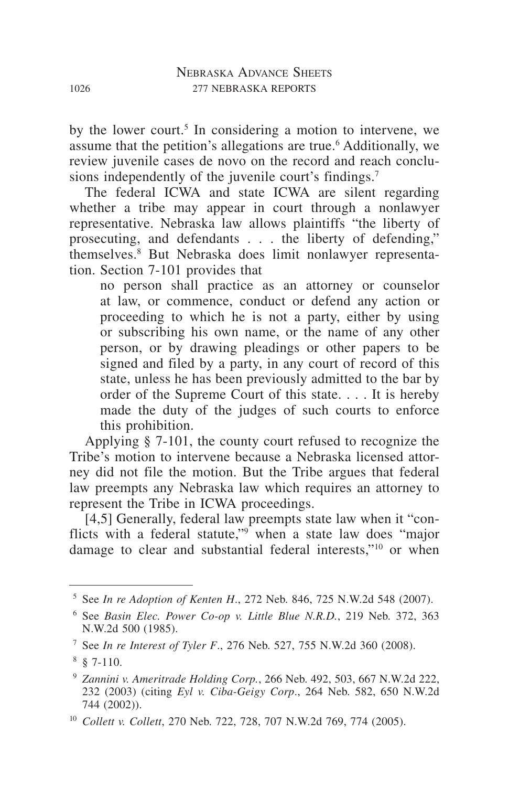by the lower court.<sup>5</sup> In considering a motion to intervene, we assume that the petition's allegations are true.<sup>6</sup> Additionally, we review juvenile cases de novo on the record and reach conclusions independently of the juvenile court's findings.<sup>7</sup>

The federal ICWA and state ICWA are silent regarding whether a tribe may appear in court through a nonlawyer representative. Nebraska law allows plaintiffs "the liberty of prosecuting, and defendants . . . the liberty of defending," themselves.8 But Nebraska does limit nonlawyer representation. Section 7-101 provides that

no person shall practice as an attorney or counselor at law, or commence, conduct or defend any action or proceeding to which he is not a party, either by using or subscribing his own name, or the name of any other person, or by drawing pleadings or other papers to be signed and filed by a party, in any court of record of this state, unless he has been previously admitted to the bar by order of the Supreme Court of this state. . . . It is hereby made the duty of the judges of such courts to enforce this prohibition.

Applying § 7-101, the county court refused to recognize the Tribe's motion to intervene because a Nebraska licensed attorney did not file the motion. But the Tribe argues that federal law preempts any Nebraska law which requires an attorney to represent the Tribe in ICWA proceedings.

[4,5] Generally, federal law preempts state law when it "conflicts with a federal statute,"9 when a state law does "major damage to clear and substantial federal interests,"10 or when

<sup>5</sup> See *In re Adoption of Kenten H*., 272 Neb. 846, 725 N.W.2d 548 (2007).

<sup>6</sup> See *Basin Elec. Power Co-op v. Little Blue N.R.D.*, 219 Neb. 372, 363 N.W.2d 500 (1985).

<sup>7</sup> See *In re Interest of Tyler F*., 276 Neb. 527, 755 N.W.2d 360 (2008).

 $8 \times 7 - 110$ .

<sup>9</sup> *Zannini v. Ameritrade Holding Corp.*, 266 Neb. 492, 503, 667 N.W.2d 222, 232 (2003) (citing *Eyl v. Ciba-Geigy Corp*., 264 Neb. 582, 650 N.W.2d 744 (2002)).

<sup>10</sup> *Collett v. Collett*, 270 Neb. 722, 728, 707 N.W.2d 769, 774 (2005).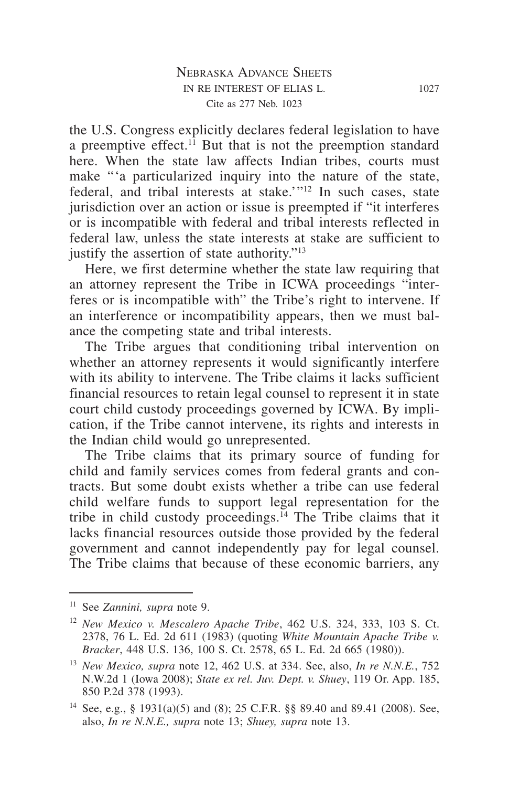the U.S. Congress explicitly declares federal legislation to have a preemptive effect.<sup>11</sup> But that is not the preemption standard here. When the state law affects Indian tribes, courts must make "'a particularized inquiry into the nature of the state, federal, and tribal interests at stake.'"12 In such cases, state jurisdiction over an action or issue is preempted if "it interferes or is incompatible with federal and tribal interests reflected in federal law, unless the state interests at stake are sufficient to justify the assertion of state authority."13

Here, we first determine whether the state law requiring that an attorney represent the Tribe in ICWA proceedings "interferes or is incompatible with" the Tribe's right to intervene. If an interference or incompatibility appears, then we must balance the competing state and tribal interests.

The Tribe argues that conditioning tribal intervention on whether an attorney represents it would significantly interfere with its ability to intervene. The Tribe claims it lacks sufficient financial resources to retain legal counsel to represent it in state court child custody proceedings governed by ICWA. By implication, if the Tribe cannot intervene, its rights and interests in the Indian child would go unrepresented.

The Tribe claims that its primary source of funding for child and family services comes from federal grants and contracts. But some doubt exists whether a tribe can use federal child welfare funds to support legal representation for the tribe in child custody proceedings.<sup>14</sup> The Tribe claims that it lacks financial resources outside those provided by the federal government and cannot independently pay for legal counsel. The Tribe claims that because of these economic barriers, any

<sup>11</sup> See *Zannini, supra* note 9.

<sup>12</sup> *New Mexico v. Mescalero Apache Tribe*, 462 U.S. 324, 333, 103 S. Ct. 2378, 76 L. Ed. 2d 611 (1983) (quoting *White Mountain Apache Tribe v. Bracker*, 448 U.S. 136, 100 S. Ct. 2578, 65 L. Ed. 2d 665 (1980)).

<sup>13</sup> *New Mexico, supra* note 12, 462 U.S. at 334. See, also, *In re N.N.E.*, 752 N.W.2d 1 (Iowa 2008); *State ex rel. Juv. Dept. v. Shuey*, 119 Or. App. 185, 850 P.2d 378 (1993).

<sup>14</sup> See, e.g., § 1931(a)(5) and (8); 25 C.F.R. §§ 89.40 and 89.41 (2008). See, also, *In re N.N.E., supra* note 13; *Shuey, supra* note 13.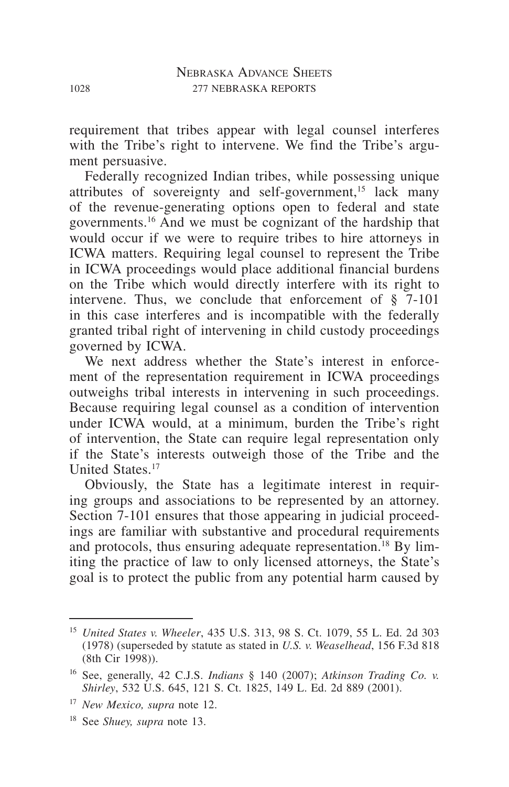requirement that tribes appear with legal counsel interferes with the Tribe's right to intervene. We find the Tribe's argument persuasive.

Federally recognized Indian tribes, while possessing unique attributes of sovereignty and self-government,<sup>15</sup> lack many of the revenue-generating options open to federal and state governments.16 And we must be cognizant of the hardship that would occur if we were to require tribes to hire attorneys in ICWA matters. Requiring legal counsel to represent the Tribe in ICWA proceedings would place additional financial burdens on the Tribe which would directly interfere with its right to intervene. Thus, we conclude that enforcement of  $\S$  7-101 in this case interferes and is incompatible with the federally granted tribal right of intervening in child custody proceedings governed by ICWA.

We next address whether the State's interest in enforcement of the representation requirement in ICWA proceedings outweighs tribal interests in intervening in such proceedings. Because requiring legal counsel as a condition of intervention under ICWA would, at a minimum, burden the Tribe's right of intervention, the State can require legal representation only if the State's interests outweigh those of the Tribe and the **United States**<sup>17</sup>

Obviously, the State has a legitimate interest in requiring groups and associations to be represented by an attorney. Section 7-101 ensures that those appearing in judicial proceedings are familiar with substantive and procedural requirements and protocols, thus ensuring adequate representation.<sup>18</sup> By limiting the practice of law to only licensed attorneys, the State's goal is to protect the public from any potential harm caused by

<sup>15</sup> *United States v. Wheeler*, 435 U.S. 313, 98 S. Ct. 1079, 55 L. Ed. 2d 303 (1978) (superseded by statute as stated in *U.S. v. Weaselhead*, 156 F.3d 818 (8th Cir 1998)).

<sup>16</sup> See, generally, 42 C.J.S. *Indians* § 140 (2007); *Atkinson Trading Co. v. Shirley*, 532 U.S. 645, 121 S. Ct. 1825, 149 L. Ed. 2d 889 (2001).

<sup>17</sup> *New Mexico, supra* note 12.

<sup>18</sup> See *Shuey, supra* note 13.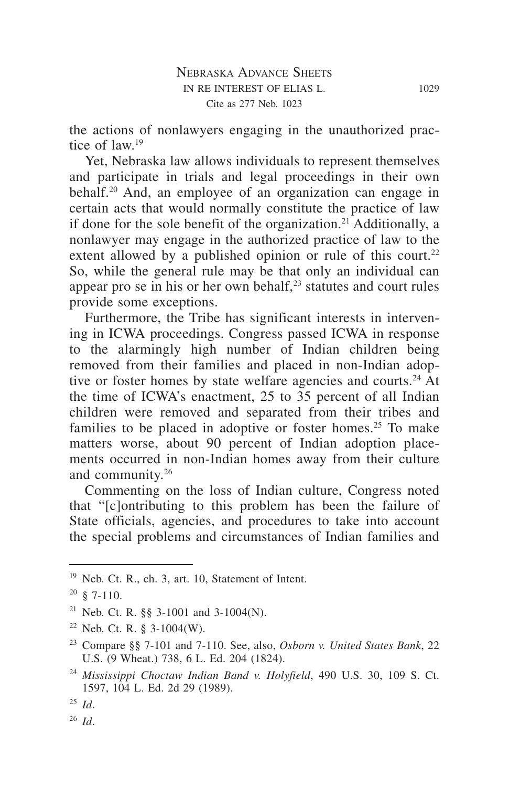the actions of nonlawyers engaging in the unauthorized practice of  $law<sup>19</sup>$ 

Yet, Nebraska law allows individuals to represent themselves and participate in trials and legal proceedings in their own behalf.<sup>20</sup> And, an employee of an organization can engage in certain acts that would normally constitute the practice of law if done for the sole benefit of the organization.<sup>21</sup> Additionally, a nonlawyer may engage in the authorized practice of law to the extent allowed by a published opinion or rule of this court.<sup>22</sup> So, while the general rule may be that only an individual can appear pro se in his or her own behalf, $2<sup>3</sup>$  statutes and court rules provide some exceptions.

Furthermore, the Tribe has significant interests in intervening in ICWA proceedings. Congress passed ICWA in response to the alarmingly high number of Indian children being removed from their families and placed in non-Indian adoptive or foster homes by state welfare agencies and courts.<sup>24</sup> At the time of ICWA's enactment, 25 to 35 percent of all Indian children were removed and separated from their tribes and families to be placed in adoptive or foster homes.<sup>25</sup> To make matters worse, about 90 percent of Indian adoption placements occurred in non-Indian homes away from their culture and community.26

Commenting on the loss of Indian culture, Congress noted that "[c]ontributing to this problem has been the failure of State officials, agencies, and procedures to take into account the special problems and circumstances of Indian families and

<sup>19</sup> Neb. Ct. R., ch. 3, art. 10, Statement of Intent.

 $20 \& 7-110.$ 

<sup>21</sup> Neb. Ct. R. §§ 3-1001 and 3-1004(N).

 $22$  Neb. Ct. R. § 3-1004(W).

<sup>23</sup> Compare §§ 7-101 and 7-110. See, also, *Osborn v. United States Bank*, 22 U.S. (9 Wheat.) 738, 6 L. Ed. 204 (1824).

<sup>24</sup> *Mississippi Choctaw Indian Band v. Holyfield*, 490 U.S. 30, 109 S. Ct. 1597, 104 L. Ed. 2d 29 (1989).

<sup>25</sup> *Id*.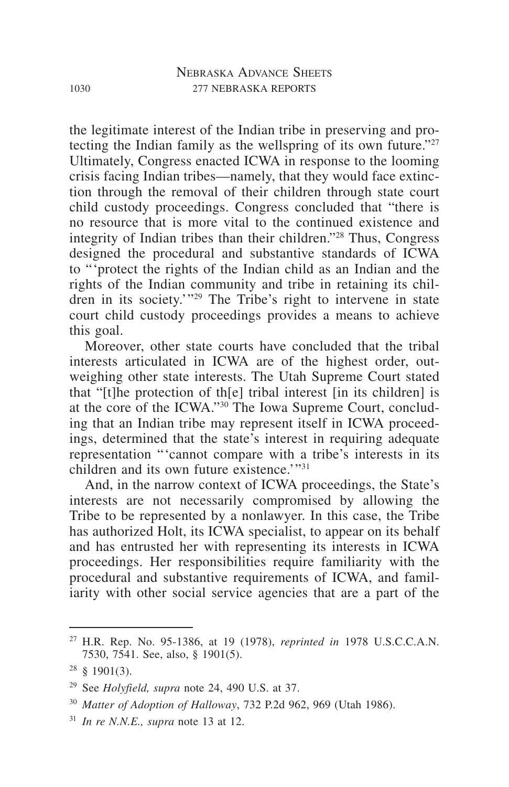the legitimate interest of the Indian tribe in preserving and protecting the Indian family as the wellspring of its own future."<sup>27</sup> Ultimately, Congress enacted ICWA in response to the looming crisis facing Indian tribes—namely, that they would face extinction through the removal of their children through state court child custody proceedings. Congress concluded that "there is no resource that is more vital to the continued existence and integrity of Indian tribes than their children."28 Thus, Congress designed the procedural and substantive standards of ICWA to "'protect the rights of the Indian child as an Indian and the rights of the Indian community and tribe in retaining its children in its society.'"29 The Tribe's right to intervene in state court child custody proceedings provides a means to achieve this goal.

Moreover, other state courts have concluded that the tribal interests articulated in ICWA are of the highest order, outweighing other state interests. The Utah Supreme Court stated that "[t]he protection of th[e] tribal interest [in its children] is at the core of the ICWA."30 The Iowa Supreme Court, concluding that an Indian tribe may represent itself in ICWA proceedings, determined that the state's interest in requiring adequate representation "'cannot compare with a tribe's interests in its children and its own future existence.'"<sup>31</sup>

And, in the narrow context of ICWA proceedings, the State's interests are not necessarily compromised by allowing the Tribe to be represented by a nonlawyer. In this case, the Tribe has authorized Holt, its ICWA specialist, to appear on its behalf and has entrusted her with representing its interests in ICWA proceedings. Her responsibilities require familiarity with the procedural and substantive requirements of ICWA, and familiarity with other social service agencies that are a part of the

<sup>27</sup> H.R. Rep. No. 95-1386, at 19 (1978), *reprinted in* 1978 U.S.C.C.A.N. 7530, 7541. See, also, § 1901(5).

 $28 \text{ } \text{\&} 1901(3)$ .

<sup>29</sup> See *Holyfield, supra* note 24, 490 U.S. at 37.

<sup>30</sup> *Matter of Adoption of Halloway*, 732 P.2d 962, 969 (Utah 1986).

<sup>31</sup> *In re N.N.E., supra* note 13 at 12.